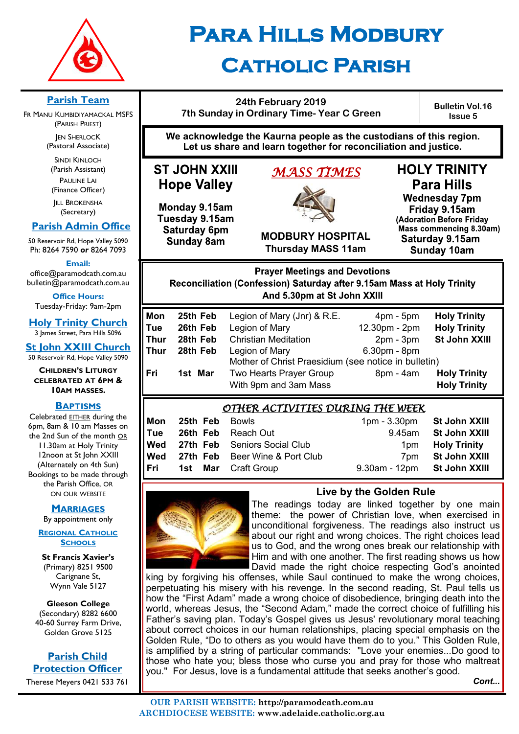

# **Para Hills Modbury Catholic Parish**

### **24th February 2019 7th Sunday in Ordinary Time- Year C Green**

**Bulletin Vol.16 Issue 5**

**We acknowledge the Kaurna people as the custodians of this region. Let us share and learn together for reconciliation and justice.**

# **ST JOHN XXIII Hope Valley**

Monday 9.15am Tuesday 9.15am Saturday 6pm **Sunday 8am** 

# *MASS TIMES*



**Thursday MASS 11am**

**Para Hills Wednesday 7pm** Friday 9.15am (Adoration Before Friday Mass commencing 8.30am) Saturday 9.15am

**HOLY TRINITY** 

**Sunday 10am** 

**Prayer Meetings and Devotions** Reconciliation (Confession) Saturday after 9.15am Mass at Holy Trinity And 5.30pm at St John XXIII

| Mon  | 25th Feb | Legion of Mary (Jnr) & R.E.                          | $4pm - 5pm$   | <b>Holy Trinity</b> |  |
|------|----------|------------------------------------------------------|---------------|---------------------|--|
| Tue  | 26th Feb | Legion of Mary                                       | 12.30pm - 2pm | <b>Holy Trinity</b> |  |
| Thur | 28th Feb | <b>Christian Meditation</b>                          | $2pm - 3pm$   | St John XXIII       |  |
| Thur | 28th Feb | Legion of Mary                                       | 6.30pm - 8pm  |                     |  |
|      |          | Mother of Christ Praesidium (see notice in bulletin) |               |                     |  |
| Fri  | 1st Mar  | Two Hearts Prayer Group                              | 8pm - 4am     | <b>Holy Trinity</b> |  |
|      |          | With 9pm and 3am Mass                                |               | <b>Holy Trinity</b> |  |
|      |          |                                                      |               |                     |  |

### *OTHER ACTIVITIES DURING THE WEEK*

| Mon        | <b>25th Feb</b> Bowls |                                           | 1pm - 3.30pm St John XXIII  |                         |  |  |
|------------|-----------------------|-------------------------------------------|-----------------------------|-------------------------|--|--|
| Tue        |                       | <b>26th Feb</b> Reach Out                 |                             | 9.45am St John XXIII    |  |  |
|            |                       | Wed 27th Feb Seniors Social Club          |                             | 1pm <b>Holy Trinity</b> |  |  |
|            |                       | <b>Wed</b> 27th Feb Beer Wine & Port Club |                             | 7pm St John XXIII       |  |  |
| <b>Fri</b> |                       | <b>1st Mar</b> Craft Group                | 9.30am - 12pm St John XXIII |                         |  |  |
|            |                       |                                           |                             |                         |  |  |



**Live by the Golden Rule**

The readings today are linked together by one main theme: the power of Christian love, when exercised in unconditional forgiveness. The readings also instruct us about our right and wrong choices. The right choices lead us to God, and the wrong ones break our relationship with Him and with one another. The first reading shows us how David made the right choice respecting God's anointed

king by forgiving his offenses, while Saul continued to make the wrong choices, perpetuating his misery with his revenge. In the second reading, St. Paul tells us how the "First Adam" made a wrong choice of disobedience, bringing death into the world, whereas Jesus, the "Second Adam," made the correct choice of fulfilling his Father's saving plan. Today's Gospel gives us Jesus' revolutionary moral teaching about correct choices in our human relationships, placing special emphasis on the Golden Rule, "Do to others as you would have them do to you." This Golden Rule, is amplified by a string of particular commands: "Love your enemies...Do good to those who hate you; bless those who curse you and pray for those who maltreat you." For Jesus, love is a fundamental attitude that seeks another's good.

*Cont...*

### **Parish Team**

FR MANU KUMBIDIYAMACKAL MSFS (PARISH PRIEST) **JEN SHERLOCK** (Pastoral Associate)

SINDI KINLOCH (Parish Assistant) PAULINE LAI (Finance Officer)

**IILL BROKENSHA** (Secretary)

### **Parish Admin Office**

50 Reservoir Rd, Hope Valley 5090 Ph: 8264 7590 *or* 8264 7093

**Email:** 

office@paramodcath.com.au bulletin@paramodcath.com.au

**Office Hours:**  Tuesday-Friday: 9am-2pm

**Holy Trinity Church** 3 James Street, Para Hills 5096

**St John XXIII Church** 50 Reservoir Rd, Hope Valley 5090

**CHILDREN'S LITURGY CELEBRATED AT 6PM & 10AM MASSES.**

### **BAPTISMS**

Celebrated EITHER during the 6pm, 8am & 10 am Masses on the 2nd Sun of the month OR 11.30am at Holy Trinity 12noon at St John XXIII (Alternately on 4th Sun) Bookings to be made through the Parish Office, OR ON OUR WEBSITE

#### **MARRIAGES**

By appointment only

**REGIONAL CATHOLIC SCHOOLS**

**St Francis Xavier's**  (Primary) 8251 9500 Carignane St, Wynn Vale 5127

**Gleeson College**  (Secondary) 8282 6600 40-60 Surrey Farm Drive, Golden Grove 5125

**Parish Child Protection Officer** Therese Meyers 0421 533 761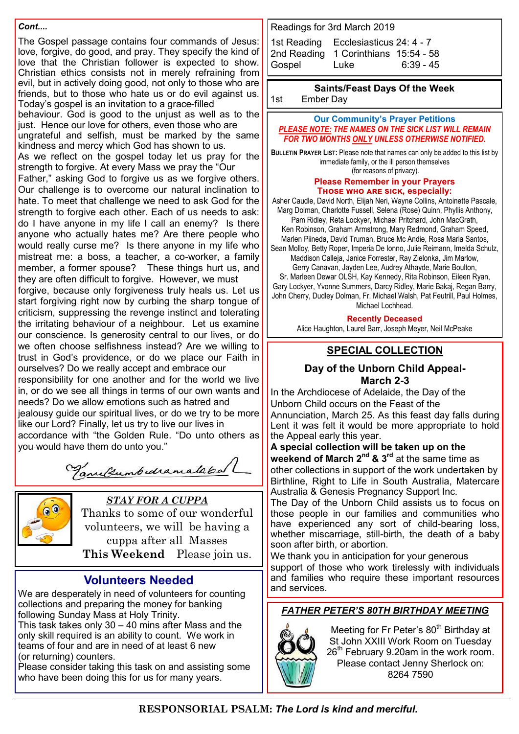#### *Cont....*

The Gospel passage contains four commands of Jesus: love, forgive, do good, and pray. They specify the kind of love that the Christian follower is expected to show. Christian ethics consists not in merely refraining from evil, but in actively doing good, not only to those who are friends, but to those who hate us or do evil against us. Today's gospel is an invitation to a grace-filled

behaviour. God is good to the unjust as well as to the just. Hence our love for others, even those who are ungrateful and selfish, must be marked by the same kindness and mercy which God has shown to us.

As we reflect on the gospel today let us pray for the strength to forgive. At every Mass we pray the "Our

Father," asking God to forgive us as we forgive others. Our challenge is to overcome our natural inclination to hate. To meet that challenge we need to ask God for the strength to forgive each other. Each of us needs to ask: do I have anyone in my life I call an enemy? Is there anyone who actually hates me? Are there people who would really curse me? Is there anyone in my life who mistreat me: a boss, a teacher, a co-worker, a family member, a former spouse? These things hurt us, and they are often difficult to forgive. However, we must forgive, because only forgiveness truly heals us. Let us start forgiving right now by curbing the sharp tongue of criticism, suppressing the revenge instinct and tolerating the irritating behaviour of a neighbour. Let us examine our conscience. Is generosity central to our lives, or do we often choose selfishness instead? Are we willing to trust in God's providence, or do we place our Faith in ourselves? Do we really accept and embrace our responsibility for one another and for the world we live in, or do we see all things in terms of our own wants and needs? Do we allow emotions such as hatred and jealousy quide our spiritual lives, or do we try to be more like our Lord? Finally, let us try to live our lives in accordance with "the Golden Rule. "Do unto others as you would have them do unto you."

Tanultumbedramalaked



 *STAY FOR A CUPPA*

Thanks to some of our wonderful volunteers, we will be having a cuppa after all Masses **This Weekend** Please join us.

### **Volunteers Needed**

We are desperately in need of volunteers for counting collections and preparing the money for banking following Sunday Mass at Holy Trinity.

This task takes only  $30 - 40$  mins after Mass and the only skill required is an ability to count. We work in teams of four and are in need of at least 6 new (or returning) counters.

Please consider taking this task on and assisting some who have been doing this for us for many years.

Readings for 3rd March 2019

1st Reading Ecclesiasticus [24: 4](javascript:expandDetail(%22reading%22,%22FR%22,%22N04ORSUC%22,%20%22right_content_middle%22,%22%22);) - 7 2nd Reading 1 [Corinthians 15:54](javascript:expandDetail(%22reading%22,%22SR%22,%22N04ORSUC%22,%20%22right_content_middle%22,%22%22);) - 58 Gospel Luke 6:39 - 45

#### **Saints/Feast Days Of the Week**

1st Ember Day

#### **Our Community's Prayer Petitions**  *PLEASE NOTE: THE NAMES ON THE SICK LIST WILL REMAIN FOR TWO MONTHS ONLY UNLESS OTHERWISE NOTIFIED.*

**BULLETIN PRAYER LIST:** Please note that names can only be added to this list by immediate family, or the ill person themselves (for reasons of privacy).

#### **Please Remember in your Prayers Those who are sick, especially:**

Asher Caudle, David North, Elijah Neri, Wayne Collins, Antoinette Pascale, Marg Dolman, Charlotte Fussell, Selena (Rose) Quinn, Phyllis Anthony, Pam Ridley, Reta Lockyer, Michael Pritchard, John MacGrath,

Ken Robinson, Graham Armstrong, Mary Redmond, Graham Speed, Marlen Piineda, David Truman, Bruce Mc Andie, Rosa Maria Santos,

Sean Molloy, Betty Roper, Imperia De Ionno, Julie Reimann, Imelda Schulz, Maddison Calleja, Janice Forrester, Ray Zielonka, Jim Marlow, Gerry Canavan, Jayden Lee, Audrey Athayde, Marie Boulton,

Sr. Marleen Dewar OLSH, Kay Kennedy, Rita Robinson, Eileen Ryan, Gary Lockyer, Yvonne Summers, Darcy Ridley, Marie Bakaj, Regan Barry, John Cherry, Dudley Dolman, Fr. Michael Walsh, Pat Feutrill, Paul Holmes, Michael Lochhead.

**Recently Deceased**

Alice Haughton, Laurel Barr, Joseph Meyer, Neil McPeake

### **SPECIAL COLLECTION**

#### **Day of the Unborn Child Appeal-March 2-3**

In the Archdiocese of Adelaide, the Day of the Unborn Child occurs on the Feast of the Annunciation, March 25. As this feast day falls during Lent it was felt it would be more appropriate to hold the Appeal early this year.

### **A special collection will be taken up on the weekend of March 2nd & 3rd** at the same time as other collections in support of the work undertaken by

Birthline, Right to Life in South Australia, Matercare Australia & Genesis Pregnancy Support Inc.

The Day of the Unborn Child assists us to focus on those people in our families and communities who have experienced any sort of child-bearing loss, whether miscarriage, still-birth, the death of a baby soon after birth, or abortion.

We thank you in anticipation for your generous support of those who work tirelessly with individuals and families who require these important resources and services.

### *FATHER PETER'S 80TH BIRTHDAY MEETING*



Meeting for Fr Peter's 80<sup>th</sup> Birthday at St John XXIII Work Room on Tuesday  $26<sup>th</sup>$  February 9.20am in the work room. Please contact Jenny Sherlock on: 8264 7590

**RESPONSORIAL PSALM:** *The Lord is kind and merciful.*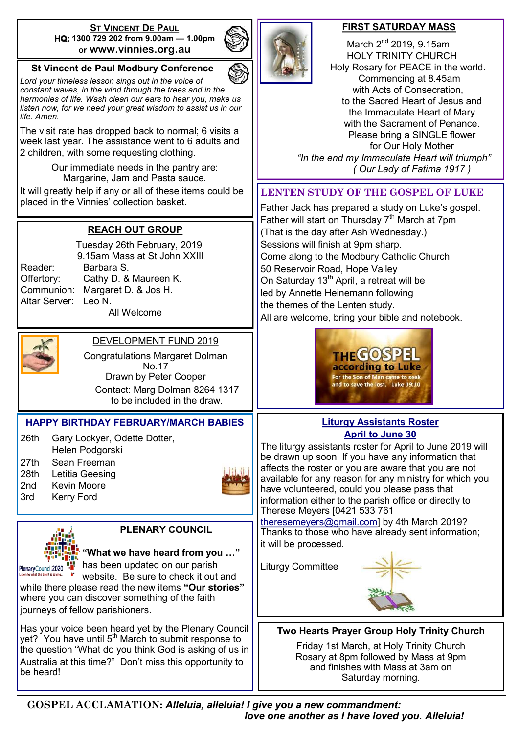#### **ST VINCENT DE PAUL HQ: 1300 729 202 from 9.00am — 1.00pm or www.vinnies.org.au**

### **St Vincent de Paul Modbury Conference**

*Lord your timeless lesson sings out in the voice of constant waves, in the wind through the trees and in the harmonies of life. Wash clean our ears to hear you, make us listen now, for we need your great wisdom to assist us in our life. Amen.*

The visit rate has dropped back to normal; 6 visits a week last year. The assistance went to 6 adults and 2 children, with some requesting clothing.

> Our immediate needs in the pantry are: Margarine, Jam and Pasta sauce.

It will greatly help if any or all of these items could be placed in the Vinnies' collection basket.

### **REACH OUT GROUP**

 Tuesday 26th February, 2019 9.15am Mass at St John XXIII Reader: Barbara S. Offertory: Cathy D. & Maureen K. Communion: Margaret D. & Jos H. Altar Server: Leo N. All Welcome



### DEVELOPMENT FUND 2019

Congratulations Margaret Dolman No.17 Drawn by Peter Cooper Contact: Marg Dolman 8264 1317 to be included in the draw.

### **HAPPY BIRTHDAY FEBRUARY/MARCH BABIES**

26th Gary Lockyer, Odette Dotter, Helen Podgorski 27th Sean Freeman 28th Letitia Geesing

- 2nd Kevin Moore
- 3rd Kerry Ford





**PLENARY COUNCIL**

**"What we have heard from you …"** PlenaryCouncil2020 **Has been updated on our parish** 

website. Be sure to check it out and while there please read the new items **"Our stories"**  where you can discover something of the faith journeys of fellow parishioners.

Has your voice been heard yet by the Plenary Council yet? You have until 5<sup>th</sup> March to submit response to the question "What do you think God is asking of us in Australia at this time?" Don't miss this opportunity to be heard!

### **FIRST SATURDAY MASS**

March  $2<sup>nd</sup>$  2019, 9.15am HOLY TRINITY CHURCH Holy Rosary for PEACE in the world. Commencing at 8.45am with Acts of Consecration, to the Sacred Heart of Jesus and the Immaculate Heart of Mary with the Sacrament of Penance. Please bring a SINGLE flower for Our Holy Mother  *"In the end my Immaculate Heart will triumph" ( Our Lady of Fatima 1917 )*

### **LENTEN STUDY OF THE GOSPEL OF LUKE**

Father Jack has prepared a study on Luke's gospel. Father will start on Thursday  $7<sup>th</sup>$  March at 7pm (That is the day after Ash Wednesday.) Sessions will finish at 9pm sharp. Come along to the Modbury Catholic Church 50 Reservoir Road, Hope Valley On Saturday 13<sup>th</sup> April, a retreat will be led by Annette Heinemann following the themes of the Lenten study. All are welcome, bring your bible and notebook.



### **Liturgy Assistants Roster April to June 30**

The liturgy assistants roster for April to June 2019 will be drawn up soon. If you have any information that affects the roster or you are aware that you are not available for any reason for any ministry for which you have volunteered, could you please pass that information either to the parish office or directly to Therese Meyers [0421 533 761

[theresemeyers@gmail.com\]](mailto:theresemeyers@gmail.com) by 4th March 2019? Thanks to those who have already sent information; it will be processed.

Liturgy Committee



**Two Hearts Prayer Group Holy Trinity Church**

Friday 1st March, at Holy Trinity Church Rosary at 8pm followed by Mass at 9pm and finishes with Mass at 3am on Saturday morning.

**GOSPEL ACCLAMATION:** *Alleluia, alleluia! I give you a new commandment: love one another as I have loved you. Alleluia!*